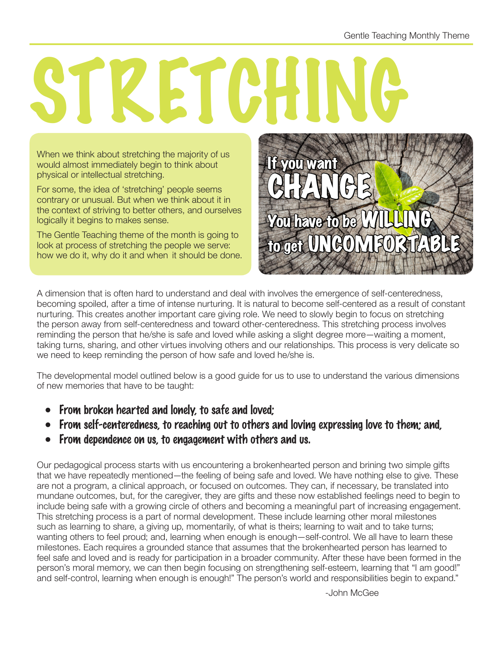## **TZETCH**

When we think about stretching the majority of us would almost immediately begin to think about physical or intellectual stretching.

For some, the idea of 'stretching' people seems contrary or unusual. But when we think about it in the context of striving to better others, and ourselves logically it begins to makes sense.

The Gentle Teaching theme of the month is going to look at process of stretching the people we serve: how we do it, why do it and when it should be done.



A dimension that is often hard to understand and deal with involves the emergence of self-centeredness, becoming spoiled, after a time of intense nurturing. It is natural to become self-centered as a result of constant nurturing. This creates another important care giving role. We need to slowly begin to focus on stretching the person away from self-centeredness and toward other-centeredness. This stretching process involves reminding the person that he/she is safe and loved while asking a slight degree more—waiting a moment, taking turns, sharing, and other virtues involving others and our relationships. This process is very delicate so we need to keep reminding the person of how safe and loved he/she is.

The developmental model outlined below is a good guide for us to use to understand the various dimensions of new memories that have to be taught:

- From broken hearted and lonely, to safe and loved;
- From self-centeredness, to reaching out to others and loving expressing love to them; and,
- From dependence on us, to engagement with others and us.

Our pedagogical process starts with us encountering a brokenhearted person and brining two simple gifts that we have repeatedly mentioned—the feeling of being safe and loved. We have nothing else to give. These are not a program, a clinical approach, or focused on outcomes. They can, if necessary, be translated into mundane outcomes, but, for the caregiver, they are gifts and these now established feelings need to begin to include being safe with a growing circle of others and becoming a meaningful part of increasing engagement. This stretching process is a part of normal development. These include learning other moral milestones such as learning to share, a giving up, momentarily, of what is theirs; learning to wait and to take turns; wanting others to feel proud; and, learning when enough is enough—self-control. We all have to learn these milestones. Each requires a grounded stance that assumes that the brokenhearted person has learned to feel safe and loved and is ready for participation in a broader community. After these have been formed in the person's moral memory, we can then begin focusing on strengthening self-esteem, learning that "I am good!" and self-control, learning when enough is enough!" The person's world and responsibilities begin to expand."

-John McGee